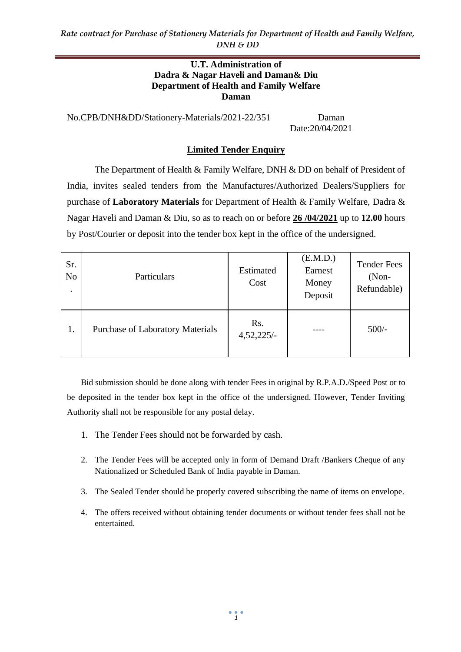#### **U.T. Administration of Dadra & Nagar Haveli and Daman& Diu Department of Health and Family Welfare Daman**

No.CPB/DNH&DD/Stationery-Materials/2021-22/351 Daman Date:20/04/2021

## **Limited Tender Enquiry**

The Department of Health & Family Welfare, DNH & DD on behalf of President of India, invites sealed tenders from the Manufactures/Authorized Dealers/Suppliers for purchase of **Laboratory Materials** for Department of Health & Family Welfare, Dadra & Nagar Haveli and Daman & Diu, so as to reach on or before **26 /04/2021** up to **12.00** hours by Post/Courier or deposit into the tender box kept in the office of the undersigned.

| Sr.<br>No. | Particulars                             | Estimated<br>Cost | (E.M.D.)<br>Earnest<br>Money<br>Deposit | <b>Tender Fees</b><br>$(Non-$<br>Refundable) |
|------------|-----------------------------------------|-------------------|-----------------------------------------|----------------------------------------------|
| 1.         | <b>Purchase of Laboratory Materials</b> | Rs.<br>4,52,225/  |                                         | $500/-$                                      |

Bid submission should be done along with tender Fees in original by R.P.A.D./Speed Post or to be deposited in the tender box kept in the office of the undersigned. However, Tender Inviting Authority shall not be responsible for any postal delay.

- 1. The Tender Fees should not be forwarded by cash.
- 2. The Tender Fees will be accepted only in form of Demand Draft /Bankers Cheque of any Nationalized or Scheduled Bank of India payable in Daman.
- 3. The Sealed Tender should be properly covered subscribing the name of items on envelope.
- 4. The offers received without obtaining tender documents or without tender fees shall not be entertained.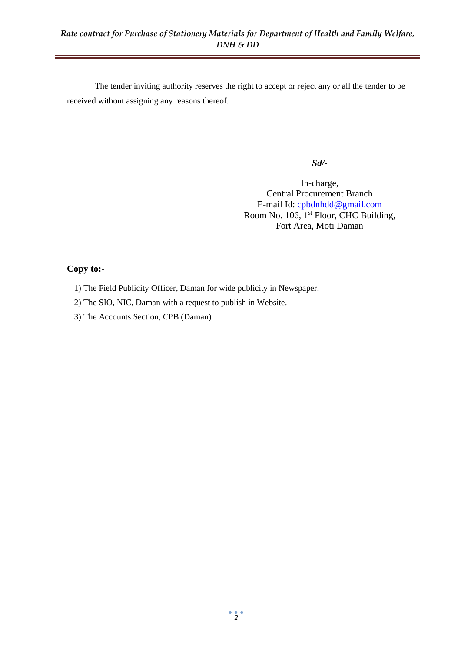The tender inviting authority reserves the right to accept or reject any or all the tender to be received without assigning any reasons thereof.

*Sd/-*

In-charge, Central Procurement Branch E-mail Id: [cpbdnhdd@gmail.com](mailto:cpbdnhdd@gmail.com) Room No. 106, 1<sup>st</sup> Floor, CHC Building, Fort Area, Moti Daman

## **Copy to:-**

- 1) The Field Publicity Officer, Daman for wide publicity in Newspaper.
- 2) The SIO, NIC, Daman with a request to publish in Website.
- 3) The Accounts Section, CPB (Daman)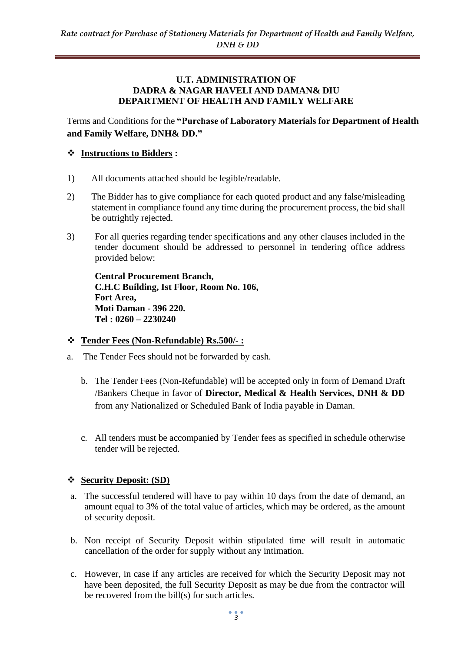#### **U.T. ADMINISTRATION OF DADRA & NAGAR HAVELI AND DAMAN& DIU DEPARTMENT OF HEALTH AND FAMILY WELFARE**

Terms and Conditions for the **"Purchase of Laboratory Materials for Department of Health and Family Welfare, DNH& DD."**

## ❖ **Instructions to Bidders :**

- 1) All documents attached should be legible/readable.
- 2) The Bidder has to give compliance for each quoted product and any false/misleading statement in compliance found any time during the procurement process, the bid shall be outrightly rejected.
- 3) For all queries regarding tender specifications and any other clauses included in the tender document should be addressed to personnel in tendering office address provided below:

**Central Procurement Branch, C.H.C Building, Ist Floor, Room No. 106, Fort Area, Moti Daman - 396 220. Tel : 0260 – 2230240**

### ❖ **Tender Fees (Non-Refundable) Rs.500/- :**

- a. The Tender Fees should not be forwarded by cash.
	- b. The Tender Fees (Non-Refundable) will be accepted only in form of Demand Draft /Bankers Cheque in favor of **Director, Medical & Health Services, DNH & DD**  from any Nationalized or Scheduled Bank of India payable in Daman.
	- c. All tenders must be accompanied by Tender fees as specified in schedule otherwise tender will be rejected.

### ❖ **Security Deposit: (SD)**

- a. The successful tendered will have to pay within 10 days from the date of demand, an amount equal to 3% of the total value of articles, which may be ordered, as the amount of security deposit.
- b. Non receipt of Security Deposit within stipulated time will result in automatic cancellation of the order for supply without any intimation.
- c. However, in case if any articles are received for which the Security Deposit may not have been deposited, the full Security Deposit as may be due from the contractor will be recovered from the bill(s) for such articles.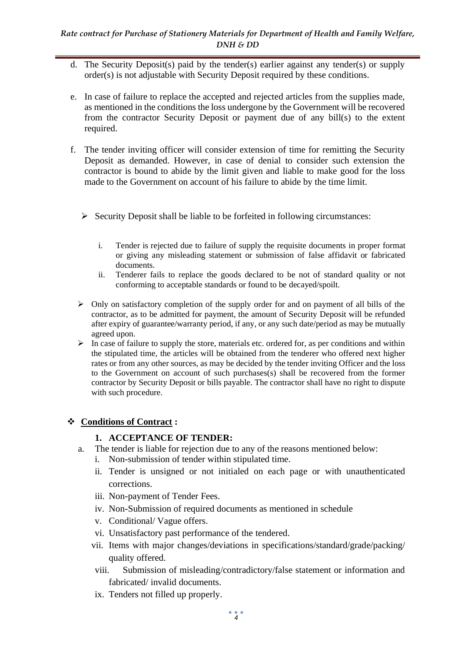- d. The Security Deposit(s) paid by the tender(s) earlier against any tender(s) or supply order(s) is not adjustable with Security Deposit required by these conditions.
- e. In case of failure to replace the accepted and rejected articles from the supplies made, as mentioned in the conditions the loss undergone by the Government will be recovered from the contractor Security Deposit or payment due of any bill(s) to the extent required.
- f. The tender inviting officer will consider extension of time for remitting the Security Deposit as demanded. However, in case of denial to consider such extension the contractor is bound to abide by the limit given and liable to make good for the loss made to the Government on account of his failure to abide by the time limit.
	- $\triangleright$  Security Deposit shall be liable to be forfeited in following circumstances:
		- i. Tender is rejected due to failure of supply the requisite documents in proper format or giving any misleading statement or submission of false affidavit or fabricated documents.
		- ii. Tenderer fails to replace the goods declared to be not of standard quality or not conforming to acceptable standards or found to be decayed/spoilt.
	- $\triangleright$  Only on satisfactory completion of the supply order for and on payment of all bills of the contractor, as to be admitted for payment, the amount of Security Deposit will be refunded after expiry of guarantee/warranty period, if any, or any such date/period as may be mutually agreed upon.
	- $\triangleright$  In case of failure to supply the store, materials etc. ordered for, as per conditions and within the stipulated time, the articles will be obtained from the tenderer who offered next higher rates or from any other sources, as may be decided by the tender inviting Officer and the loss to the Government on account of such purchases(s) shall be recovered from the former contractor by Security Deposit or bills payable. The contractor shall have no right to dispute with such procedure.

# ❖ **Conditions of Contract :**

# **1. ACCEPTANCE OF TENDER:**

- a. The tender is liable for rejection due to any of the reasons mentioned below:
	- i. Non-submission of tender within stipulated time.
	- ii. Tender is unsigned or not initialed on each page or with unauthenticated corrections.
	- iii. Non-payment of Tender Fees.
	- iv. Non-Submission of required documents as mentioned in schedule
	- v. Conditional/ Vague offers.
	- vi. Unsatisfactory past performance of the tendered.
	- vii. Items with major changes/deviations in specifications/standard/grade/packing/ quality offered.
	- viii. Submission of misleading/contradictory/false statement or information and fabricated/ invalid documents.
	- ix. Tenders not filled up properly.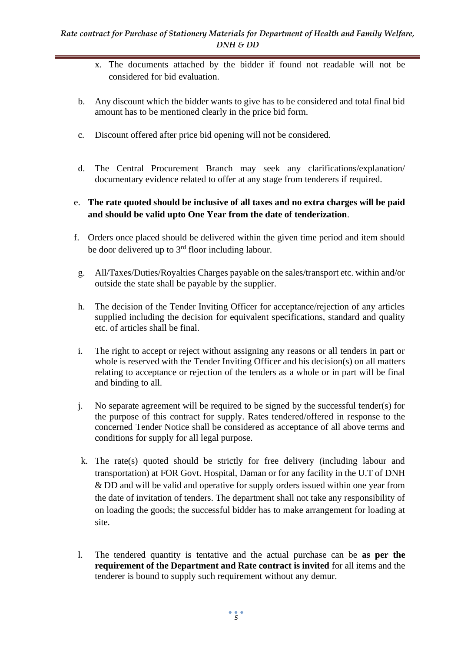- x. The documents attached by the bidder if found not readable will not be considered for bid evaluation.
- b. Any discount which the bidder wants to give has to be considered and total final bid amount has to be mentioned clearly in the price bid form.
- c. Discount offered after price bid opening will not be considered.
- d. The Central Procurement Branch may seek any clarifications/explanation/ documentary evidence related to offer at any stage from tenderers if required.
- e. **The rate quoted should be inclusive of all taxes and no extra charges will be paid and should be valid upto One Year from the date of tenderization**.
- f. Orders once placed should be delivered within the given time period and item should be door delivered up to  $3<sup>rd</sup>$  floor including labour.
- g. All/Taxes/Duties/Royalties Charges payable on the sales/transport etc. within and/or outside the state shall be payable by the supplier.
- h. The decision of the Tender Inviting Officer for acceptance/rejection of any articles supplied including the decision for equivalent specifications, standard and quality etc. of articles shall be final.
- i. The right to accept or reject without assigning any reasons or all tenders in part or whole is reserved with the Tender Inviting Officer and his decision(s) on all matters relating to acceptance or rejection of the tenders as a whole or in part will be final and binding to all.
- j. No separate agreement will be required to be signed by the successful tender(s) for the purpose of this contract for supply. Rates tendered/offered in response to the concerned Tender Notice shall be considered as acceptance of all above terms and conditions for supply for all legal purpose.
- k. The rate(s) quoted should be strictly for free delivery (including labour and transportation) at FOR Govt. Hospital, Daman or for any facility in the U.T of DNH & DD and will be valid and operative for supply orders issued within one year from the date of invitation of tenders. The department shall not take any responsibility of on loading the goods; the successful bidder has to make arrangement for loading at site.
- l. The tendered quantity is tentative and the actual purchase can be **as per the requirement of the Department and Rate contract is invited** for all items and the tenderer is bound to supply such requirement without any demur.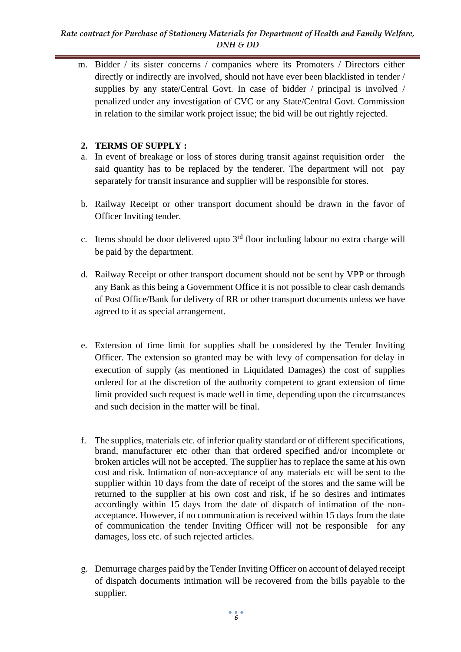#### *Rate contract for Purchase of Stationery Materials for Department of Health and Family Welfare, DNH & DD*

m. Bidder / its sister concerns / companies where its Promoters / Directors either directly or indirectly are involved, should not have ever been blacklisted in tender / supplies by any state/Central Govt. In case of bidder / principal is involved / penalized under any investigation of CVC or any State/Central Govt. Commission in relation to the similar work project issue; the bid will be out rightly rejected.

## **2. TERMS OF SUPPLY :**

- a. In event of breakage or loss of stores during transit against requisition order the said quantity has to be replaced by the tenderer. The department will not pay separately for transit insurance and supplier will be responsible for stores.
- b. Railway Receipt or other transport document should be drawn in the favor of Officer Inviting tender.
- c. Items should be door delivered upto  $3<sup>rd</sup>$  floor including labour no extra charge will be paid by the department.
- d. Railway Receipt or other transport document should not be sent by VPP or through any Bank as this being a Government Office it is not possible to clear cash demands of Post Office/Bank for delivery of RR or other transport documents unless we have agreed to it as special arrangement.
- e. Extension of time limit for supplies shall be considered by the Tender Inviting Officer. The extension so granted may be with levy of compensation for delay in execution of supply (as mentioned in Liquidated Damages) the cost of supplies ordered for at the discretion of the authority competent to grant extension of time limit provided such request is made well in time, depending upon the circumstances and such decision in the matter will be final.
- f. The supplies, materials etc. of inferior quality standard or of different specifications, brand, manufacturer etc other than that ordered specified and/or incomplete or broken articles will not be accepted. The supplier has to replace the same at his own cost and risk. Intimation of non-acceptance of any materials etc will be sent to the supplier within 10 days from the date of receipt of the stores and the same will be returned to the supplier at his own cost and risk, if he so desires and intimates accordingly within 15 days from the date of dispatch of intimation of the nonacceptance. However, if no communication is received within 15 days from the date of communication the tender Inviting Officer will not be responsible for any damages, loss etc. of such rejected articles.
- g. Demurrage charges paid by the Tender Inviting Officer on account of delayed receipt of dispatch documents intimation will be recovered from the bills payable to the supplier.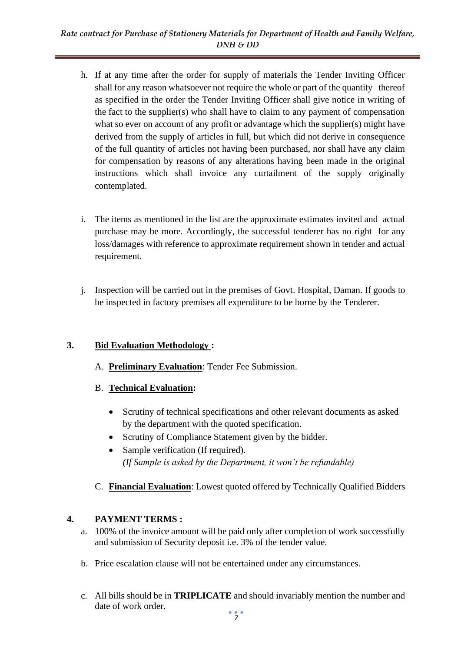- h. If at any time after the order for supply of materials the Tender Inviting Officer shall for any reason whatsoever not require the whole or part of the quantity thereof as specified in the order the Tender Inviting Officer shall give notice in writing of the fact to the supplier(s) who shall have to claim to any payment of compensation what so ever on account of any profit or advantage which the supplier(s) might have derived from the supply of articles in full, but which did not derive in consequence of the full quantity of articles not having been purchased, nor shall have any claim for compensation by reasons of any alterations having been made in the original instructions which shall invoice any curtailment of the supply originally contemplated.
- i. The items as mentioned in the list are the approximate estimates invited and actual purchase may be more. Accordingly, the successful tenderer has no right for any loss/damages with reference to approximate requirement shown in tender and actual requirement.
- j. Inspection will be carried out in the premises of Govt. Hospital, Daman. If goods to be inspected in factory premises all expenditure to be borne by the Tenderer.

# **3. Bid Evaluation Methodology :**

- A. **Preliminary Evaluation**: Tender Fee Submission.
- B. **Technical Evaluation:** 
	- Scrutiny of technical specifications and other relevant documents as asked by the department with the quoted specification.
	- Scrutiny of Compliance Statement given by the bidder.
	- Sample verification (If required). *(If Sample is asked by the Department, it won't be refundable)*
- C. **Financial Evaluation**: Lowest quoted offered by Technically Qualified Bidders

# **4. PAYMENT TERMS :**

- a. 100% of the invoice amount will be paid only after completion of work successfully and submission of Security deposit i.e. 3% of the tender value.
- b. Price escalation clause will not be entertained under any circumstances.
- c. All bills should be in **TRIPLICATE** and should invariably mention the number and date of work order.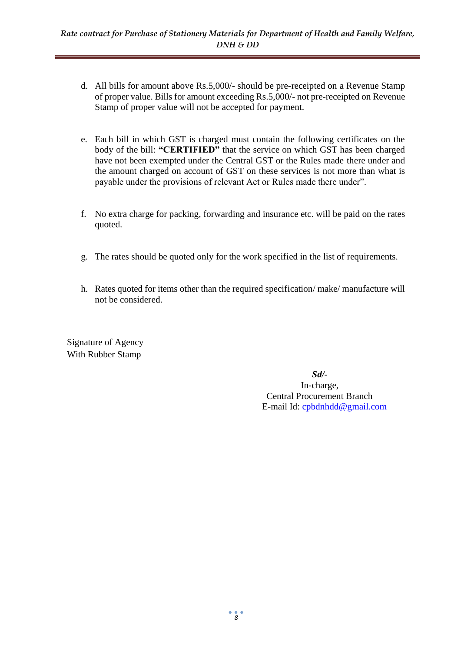- d. All bills for amount above Rs.5,000/- should be pre-receipted on a Revenue Stamp of proper value. Bills for amount exceeding Rs.5,000/- not pre-receipted on Revenue Stamp of proper value will not be accepted for payment.
- e. Each bill in which GST is charged must contain the following certificates on the body of the bill: **"CERTIFIED"** that the service on which GST has been charged have not been exempted under the Central GST or the Rules made there under and the amount charged on account of GST on these services is not more than what is payable under the provisions of relevant Act or Rules made there under".
- f. No extra charge for packing, forwarding and insurance etc. will be paid on the rates quoted.
- g. The rates should be quoted only for the work specified in the list of requirements.
- h. Rates quoted for items other than the required specification/ make/ manufacture will not be considered.

Signature of Agency With Rubber Stamp

> *Sd/-* In-charge, Central Procurement Branch E-mail Id: [cpbdnhdd@gmail.com](mailto:cpbdnhdd@gmail.com)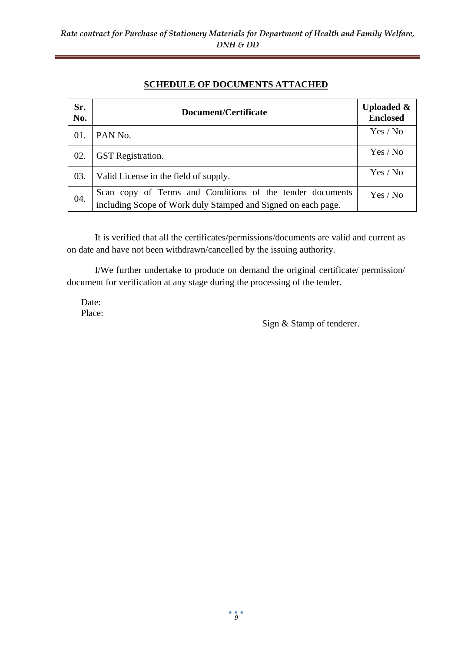## **SCHEDULE OF DOCUMENTS ATTACHED**

| Sr.<br>No. | Document/Certificate                                                                                                       | <b>Uploaded &amp;</b><br><b>Enclosed</b> |
|------------|----------------------------------------------------------------------------------------------------------------------------|------------------------------------------|
| 01.        | PAN No.                                                                                                                    | Yes / No                                 |
| 02.        | <b>GST</b> Registration.                                                                                                   | Yes / No                                 |
| 03.        | Valid License in the field of supply.                                                                                      | Yes / No                                 |
| 04.        | Scan copy of Terms and Conditions of the tender documents<br>including Scope of Work duly Stamped and Signed on each page. | Yes / No                                 |

It is verified that all the certificates/permissions/documents are valid and current as on date and have not been withdrawn/cancelled by the issuing authority.

I/We further undertake to produce on demand the original certificate/ permission/ document for verification at any stage during the processing of the tender.

Date: Place:

Sign & Stamp of tenderer.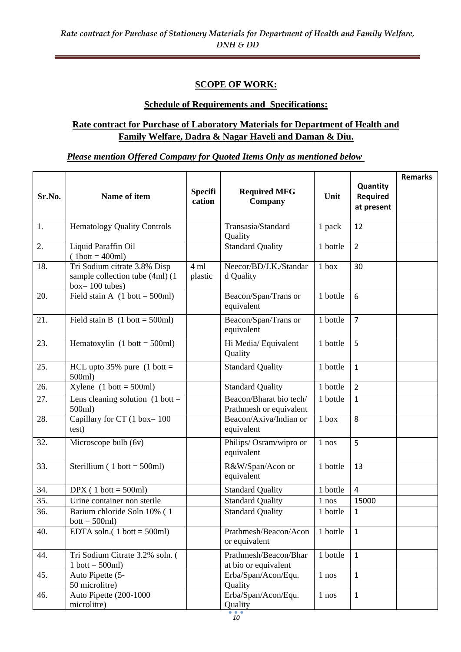## **SCOPE OF WORK:**

### **Schedule of Requirements and Specifications:**

# **Rate contract for Purchase of Laboratory Materials for Department of Health and Family Welfare, Dadra & Nagar Haveli and Daman & Diu.**

### *Please mention Offered Company for Quoted Items Only as mentioned below*

| Sr.No. | Name of item                                                                          | <b>Specifi</b><br>cation | <b>Required MFG</b><br>Company                     | Unit         | Quantity<br><b>Required</b><br>at present | <b>Remarks</b> |
|--------|---------------------------------------------------------------------------------------|--------------------------|----------------------------------------------------|--------------|-------------------------------------------|----------------|
|        |                                                                                       |                          |                                                    |              |                                           |                |
| 1.     | <b>Hematology Quality Controls</b>                                                    |                          | Transasia/Standard<br>Quality                      | 1 pack       | 12                                        |                |
| 2.     | Liquid Paraffin Oil<br>$(1bott = 400ml)$                                              |                          | <b>Standard Quality</b>                            | 1 bottle     | $\overline{2}$                            |                |
| 18.    | Tri Sodium citrate 3.8% Disp<br>sample collection tube (4ml) (1<br>$box = 100$ tubes) | 4 ml<br>plastic          | Neecor/BD/J.K./Standar<br>d Quality                | $1$ box      | 30                                        |                |
| 20.    | Field stain A $(1 \text{ bott} = 500 \text{ml})$                                      |                          | Beacon/Span/Trans or<br>equivalent                 | 1 bottle     | 6                                         |                |
| 21.    | Field stain B $(1 \text{ bott} = 500 \text{ml})$                                      |                          | Beacon/Span/Trans or<br>equivalent                 | 1 bottle     | $\overline{7}$                            |                |
| 23.    | Hematoxylin $(1 \text{ bott} = 500 \text{ml})$                                        |                          | Hi Media/Equivalent<br>Quality                     | 1 bottle     | 5                                         |                |
| 25.    | HCL upto $35\%$ pure (1 bott =<br>500ml)                                              |                          | <b>Standard Quality</b>                            | 1 bottle     | $\mathbf{1}$                              |                |
| 26.    | $X$ ylene (1 bott = 500ml)                                                            |                          | <b>Standard Quality</b>                            | 1 bottle     | $\overline{2}$                            |                |
| 27.    | Lens cleaning solution $(1 \text{ bott} =$<br>500ml)                                  |                          | Beacon/Bharat bio tech/<br>Prathmesh or equivalent | 1 bottle     | $\mathbf{1}$                              |                |
| 28.    | Capillary for CT $(1$ box= 100<br>test)                                               |                          | Beacon/Axiva/Indian or<br>equivalent               | 1 box        | 8                                         |                |
| 32.    | Microscope bulb (6v)                                                                  |                          | Philips/ Osram/wipro or<br>equivalent              | 1 nos        | 5                                         |                |
| 33.    | Sterillium ( $1$ bott = 500ml)                                                        |                          | R&W/Span/Acon or<br>equivalent                     | 1 bottle     | 13                                        |                |
| 34.    | DPX $(1 \text{ bott} = 500 \text{ml})$                                                |                          | <b>Standard Quality</b>                            | 1 bottle     | $\overline{4}$                            |                |
| 35.    | Urine container non sterile                                                           |                          | <b>Standard Quality</b>                            | 1 nos        | 15000                                     |                |
| 36.    | Barium chloride Soln 10% (1<br>$bott = 500ml$                                         |                          | <b>Standard Quality</b>                            | 1 bottle     | $\mathbf{1}$                              |                |
| 40.    | EDTA soln. $(1 \text{ bott} = 500 \text{ml})$                                         |                          | Prathmesh/Beacon/Acon<br>or equivalent             | 1 bottle     | $\mathbf{1}$                              |                |
| 44.    | Tri Sodium Citrate 3.2% soln. (<br>$1$ bott = 500ml)                                  |                          | Prathmesh/Beacon/Bhar<br>at bio or equivalent      | 1 bottle     | $\mathbf{1}$                              |                |
| 45.    | Auto Pipette (5-<br>50 microlitre)                                                    |                          | Erba/Span/Acon/Equ.<br>Quality                     | $1$ nos $\,$ | $\mathbf{1}$                              |                |
| 46.    | Auto Pipette (200-1000<br>microlitre)                                                 |                          | Erba/Span/Acon/Equ.<br>Quality                     | 1 nos        | $\mathbf{1}$                              |                |